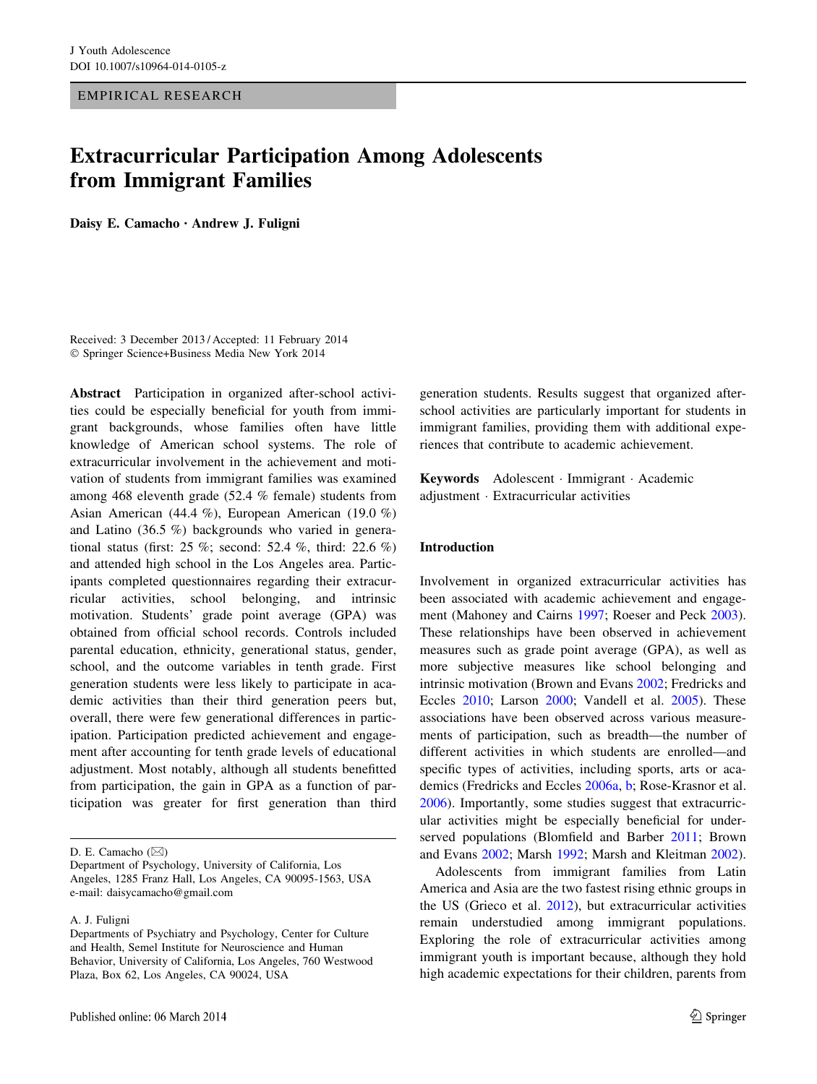EMPIRICAL RESEARCH

# Extracurricular Participation Among Adolescents from Immigrant Families

Daisy E. Camacho • Andrew J. Fuligni

Received: 3 December 2013 / Accepted: 11 February 2014 ! Springer Science+Business Media New York 2014

Abstract Participation in organized after-school activities could be especially beneficial for youth from immigrant backgrounds, whose families often have little knowledge of American school systems. The role of extracurricular involvement in the achievement and motivation of students from immigrant families was examined among 468 eleventh grade (52.4 % female) students from Asian American (44.4 %), European American (19.0 %) and Latino (36.5 %) backgrounds who varied in generational status (first: 25 %; second: 52.4 %, third: 22.6 %) and attended high school in the Los Angeles area. Participants completed questionnaires regarding their extracurricular activities, school belonging, and intrinsic motivation. Students' grade point average (GPA) was obtained from official school records. Controls included parental education, ethnicity, generational status, gender, school, and the outcome variables in tenth grade. First generation students were less likely to participate in academic activities than their third generation peers but, overall, there were few generational differences in participation. Participation predicted achievement and engagement after accounting for tenth grade levels of educational adjustment. Most notably, although all students benefitted from participation, the gain in GPA as a function of participation was greater for first generation than third

generation students. Results suggest that organized afterschool activities are particularly important for students in immigrant families, providing them with additional experiences that contribute to academic achievement.

Keywords Adolescent · Immigrant · Academic adjustment ! Extracurricular activities

#### Introduction

Involvement in organized extracurricular activities has been associated with academic achievement and engagement (Mahoney and Cairns [1997;](#page-11-0) Roeser and Peck [2003](#page-11-0)). These relationships have been observed in achievement measures such as grade point average (GPA), as well as more subjective measures like school belonging and intrinsic motivation (Brown and Evans [2002](#page-10-0); Fredricks and Eccles [2010](#page-10-0); Larson [2000;](#page-10-0) Vandell et al. [2005](#page-11-0)). These associations have been observed across various measurements of participation, such as breadth—the number of different activities in which students are enrolled—and specific types of activities, including sports, arts or academics (Fredricks and Eccles [2006a](#page-10-0), [b](#page-10-0); Rose-Krasnor et al. [2006](#page-11-0)). Importantly, some studies suggest that extracurricular activities might be especially beneficial for underserved populations (Blomfield and Barber [2011](#page-10-0); Brown and Evans [2002](#page-10-0); Marsh [1992;](#page-11-0) Marsh and Kleitman [2002](#page-11-0)).

Adolescents from immigrant families from Latin America and Asia are the two fastest rising ethnic groups in the US (Grieco et al. [2012](#page-10-0)), but extracurricular activities remain understudied among immigrant populations. Exploring the role of extracurricular activities among immigrant youth is important because, although they hold high academic expectations for their children, parents from

D. E. Camacho (⊠)

Department of Psychology, University of California, Los Angeles, 1285 Franz Hall, Los Angeles, CA 90095-1563, USA e-mail: daisycamacho@gmail.com

A. J. Fuligni

Departments of Psychiatry and Psychology, Center for Culture and Health, Semel Institute for Neuroscience and Human Behavior, University of California, Los Angeles, 760 Westwood Plaza, Box 62, Los Angeles, CA 90024, USA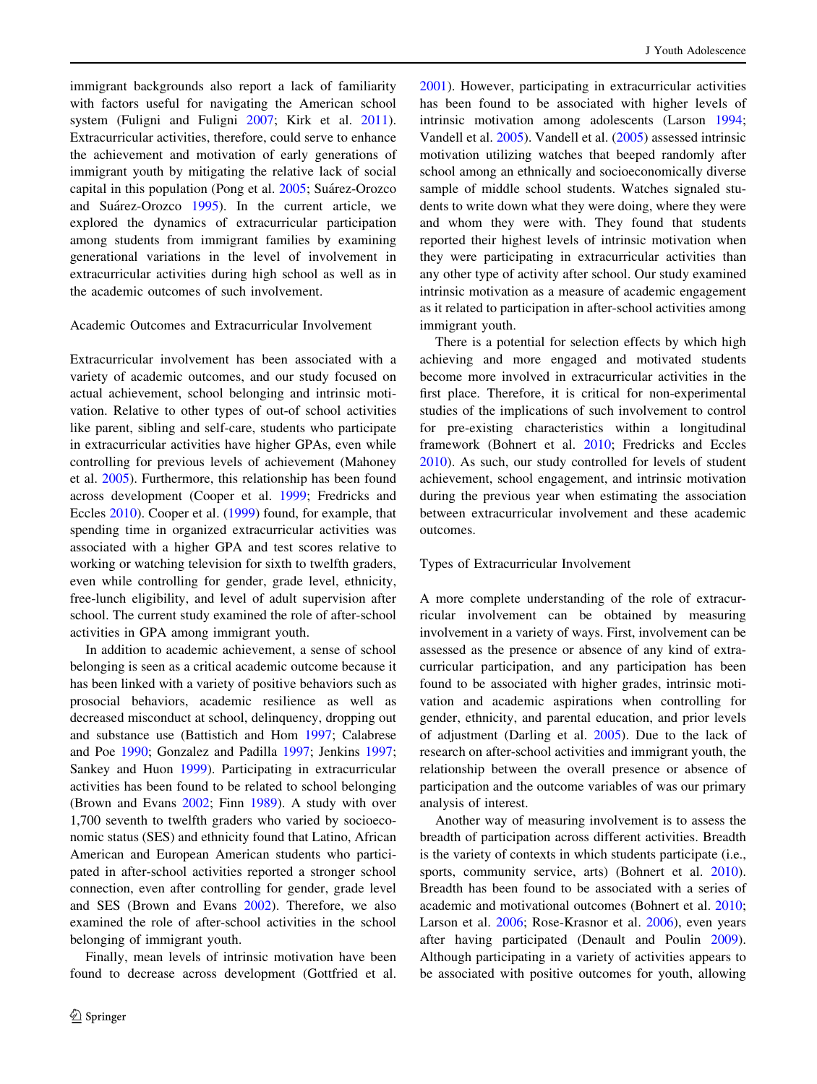immigrant backgrounds also report a lack of familiarity with factors useful for navigating the American school system (Fuligni and Fuligni [2007;](#page-10-0) Kirk et al. [2011](#page-10-0)). Extracurricular activities, therefore, could serve to enhance the achievement and motivation of early generations of immigrant youth by mitigating the relative lack of social capital in this population (Pong et al. [2005](#page-11-0); Suárez-Orozco and Suárez-Orozco [1995\)](#page-11-0). In the current article, we explored the dynamics of extracurricular participation among students from immigrant families by examining generational variations in the level of involvement in extracurricular activities during high school as well as in the academic outcomes of such involvement.

#### Academic Outcomes and Extracurricular Involvement

Extracurricular involvement has been associated with a variety of academic outcomes, and our study focused on actual achievement, school belonging and intrinsic motivation. Relative to other types of out-of school activities like parent, sibling and self-care, students who participate in extracurricular activities have higher GPAs, even while controlling for previous levels of achievement (Mahoney et al. [2005](#page-11-0)). Furthermore, this relationship has been found across development (Cooper et al. [1999;](#page-10-0) Fredricks and Eccles [2010\)](#page-10-0). Cooper et al. [\(1999](#page-10-0)) found, for example, that spending time in organized extracurricular activities was associated with a higher GPA and test scores relative to working or watching television for sixth to twelfth graders, even while controlling for gender, grade level, ethnicity, free-lunch eligibility, and level of adult supervision after school. The current study examined the role of after-school activities in GPA among immigrant youth.

In addition to academic achievement, a sense of school belonging is seen as a critical academic outcome because it has been linked with a variety of positive behaviors such as prosocial behaviors, academic resilience as well as decreased misconduct at school, delinquency, dropping out and substance use (Battistich and Hom [1997](#page-10-0); Calabrese and Poe [1990](#page-10-0); Gonzalez and Padilla [1997](#page-10-0); Jenkins [1997](#page-10-0); Sankey and Huon [1999](#page-11-0)). Participating in extracurricular activities has been found to be related to school belonging (Brown and Evans [2002;](#page-10-0) Finn [1989](#page-10-0)). A study with over 1,700 seventh to twelfth graders who varied by socioeconomic status (SES) and ethnicity found that Latino, African American and European American students who participated in after-school activities reported a stronger school connection, even after controlling for gender, grade level and SES (Brown and Evans [2002\)](#page-10-0). Therefore, we also examined the role of after-school activities in the school belonging of immigrant youth.

Finally, mean levels of intrinsic motivation have been found to decrease across development (Gottfried et al.

[2001](#page-10-0)). However, participating in extracurricular activities has been found to be associated with higher levels of intrinsic motivation among adolescents (Larson [1994](#page-10-0); Vandell et al. [2005](#page-11-0)). Vandell et al. ([2005](#page-11-0)) assessed intrinsic motivation utilizing watches that beeped randomly after school among an ethnically and socioeconomically diverse sample of middle school students. Watches signaled students to write down what they were doing, where they were and whom they were with. They found that students reported their highest levels of intrinsic motivation when they were participating in extracurricular activities than any other type of activity after school. Our study examined intrinsic motivation as a measure of academic engagement as it related to participation in after-school activities among immigrant youth.

There is a potential for selection effects by which high achieving and more engaged and motivated students become more involved in extracurricular activities in the first place. Therefore, it is critical for non-experimental studies of the implications of such involvement to control for pre-existing characteristics within a longitudinal framework (Bohnert et al. [2010;](#page-10-0) Fredricks and Eccles [2010](#page-10-0)). As such, our study controlled for levels of student achievement, school engagement, and intrinsic motivation during the previous year when estimating the association between extracurricular involvement and these academic outcomes.

#### Types of Extracurricular Involvement

A more complete understanding of the role of extracurricular involvement can be obtained by measuring involvement in a variety of ways. First, involvement can be assessed as the presence or absence of any kind of extracurricular participation, and any participation has been found to be associated with higher grades, intrinsic motivation and academic aspirations when controlling for gender, ethnicity, and parental education, and prior levels of adjustment (Darling et al. [2005](#page-10-0)). Due to the lack of research on after-school activities and immigrant youth, the relationship between the overall presence or absence of participation and the outcome variables of was our primary analysis of interest.

Another way of measuring involvement is to assess the breadth of participation across different activities. Breadth is the variety of contexts in which students participate (i.e., sports, community service, arts) (Bohnert et al. [2010](#page-10-0)). Breadth has been found to be associated with a series of academic and motivational outcomes (Bohnert et al. [2010](#page-10-0); Larson et al. [2006;](#page-11-0) Rose-Krasnor et al. [2006](#page-11-0)), even years after having participated (Denault and Poulin [2009](#page-10-0)). Although participating in a variety of activities appears to be associated with positive outcomes for youth, allowing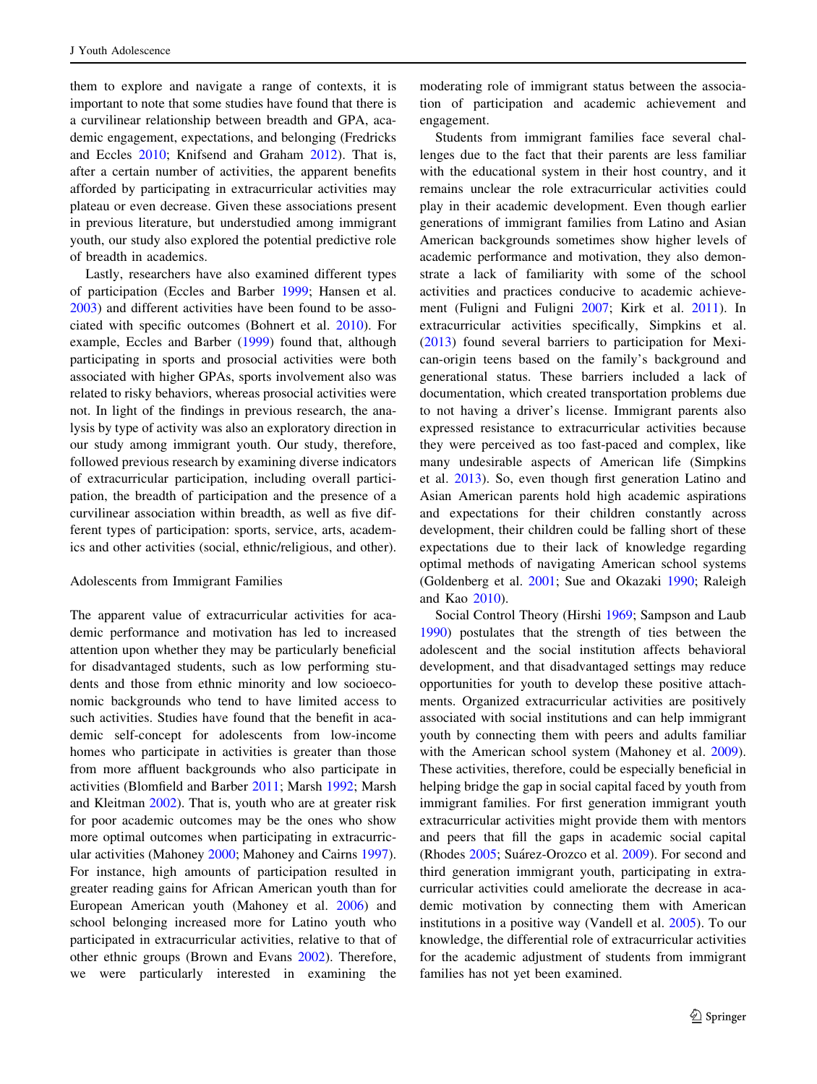them to explore and navigate a range of contexts, it is important to note that some studies have found that there is a curvilinear relationship between breadth and GPA, academic engagement, expectations, and belonging (Fredricks and Eccles [2010](#page-10-0); Knifsend and Graham [2012](#page-10-0)). That is, after a certain number of activities, the apparent benefits afforded by participating in extracurricular activities may plateau or even decrease. Given these associations present in previous literature, but understudied among immigrant youth, our study also explored the potential predictive role of breadth in academics.

Lastly, researchers have also examined different types of participation (Eccles and Barber [1999](#page-10-0); Hansen et al. [2003\)](#page-10-0) and different activities have been found to be associated with specific outcomes (Bohnert et al. [2010](#page-10-0)). For example, Eccles and Barber ([1999\)](#page-10-0) found that, although participating in sports and prosocial activities were both associated with higher GPAs, sports involvement also was related to risky behaviors, whereas prosocial activities were not. In light of the findings in previous research, the analysis by type of activity was also an exploratory direction in our study among immigrant youth. Our study, therefore, followed previous research by examining diverse indicators of extracurricular participation, including overall participation, the breadth of participation and the presence of a curvilinear association within breadth, as well as five different types of participation: sports, service, arts, academics and other activities (social, ethnic/religious, and other).

#### Adolescents from Immigrant Families

The apparent value of extracurricular activities for academic performance and motivation has led to increased attention upon whether they may be particularly beneficial for disadvantaged students, such as low performing students and those from ethnic minority and low socioeconomic backgrounds who tend to have limited access to such activities. Studies have found that the benefit in academic self-concept for adolescents from low-income homes who participate in activities is greater than those from more affluent backgrounds who also participate in activities (Blomfield and Barber [2011;](#page-10-0) Marsh [1992;](#page-11-0) Marsh and Kleitman [2002\)](#page-11-0). That is, youth who are at greater risk for poor academic outcomes may be the ones who show more optimal outcomes when participating in extracurricular activities (Mahoney [2000;](#page-11-0) Mahoney and Cairns [1997](#page-11-0)). For instance, high amounts of participation resulted in greater reading gains for African American youth than for European American youth (Mahoney et al. [2006](#page-11-0)) and school belonging increased more for Latino youth who participated in extracurricular activities, relative to that of other ethnic groups (Brown and Evans [2002](#page-10-0)). Therefore, we were particularly interested in examining the

moderating role of immigrant status between the association of participation and academic achievement and engagement.

Students from immigrant families face several challenges due to the fact that their parents are less familiar with the educational system in their host country, and it remains unclear the role extracurricular activities could play in their academic development. Even though earlier generations of immigrant families from Latino and Asian American backgrounds sometimes show higher levels of academic performance and motivation, they also demonstrate a lack of familiarity with some of the school activities and practices conducive to academic achievement (Fuligni and Fuligni [2007](#page-10-0); Kirk et al. [2011\)](#page-10-0). In extracurricular activities specifically, Simpkins et al. [\(2013](#page-11-0)) found several barriers to participation for Mexican-origin teens based on the family's background and generational status. These barriers included a lack of documentation, which created transportation problems due to not having a driver's license. Immigrant parents also expressed resistance to extracurricular activities because they were perceived as too fast-paced and complex, like many undesirable aspects of American life (Simpkins et al. [2013](#page-11-0)). So, even though first generation Latino and Asian American parents hold high academic aspirations and expectations for their children constantly across development, their children could be falling short of these expectations due to their lack of knowledge regarding optimal methods of navigating American school systems (Goldenberg et al. [2001](#page-10-0); Sue and Okazaki [1990](#page-11-0); Raleigh and Kao [2010](#page-11-0)).

Social Control Theory (Hirshi [1969](#page-10-0); Sampson and Laub [1990](#page-11-0)) postulates that the strength of ties between the adolescent and the social institution affects behavioral development, and that disadvantaged settings may reduce opportunities for youth to develop these positive attachments. Organized extracurricular activities are positively associated with social institutions and can help immigrant youth by connecting them with peers and adults familiar with the American school system (Mahoney et al. [2009](#page-11-0)). These activities, therefore, could be especially beneficial in helping bridge the gap in social capital faced by youth from immigrant families. For first generation immigrant youth extracurricular activities might provide them with mentors and peers that fill the gaps in academic social capital (Rhodes [2005](#page-11-0); Suárez-Orozco et al. [2009\)](#page-11-0). For second and third generation immigrant youth, participating in extracurricular activities could ameliorate the decrease in academic motivation by connecting them with American institutions in a positive way (Vandell et al. [2005\)](#page-11-0). To our knowledge, the differential role of extracurricular activities for the academic adjustment of students from immigrant families has not yet been examined.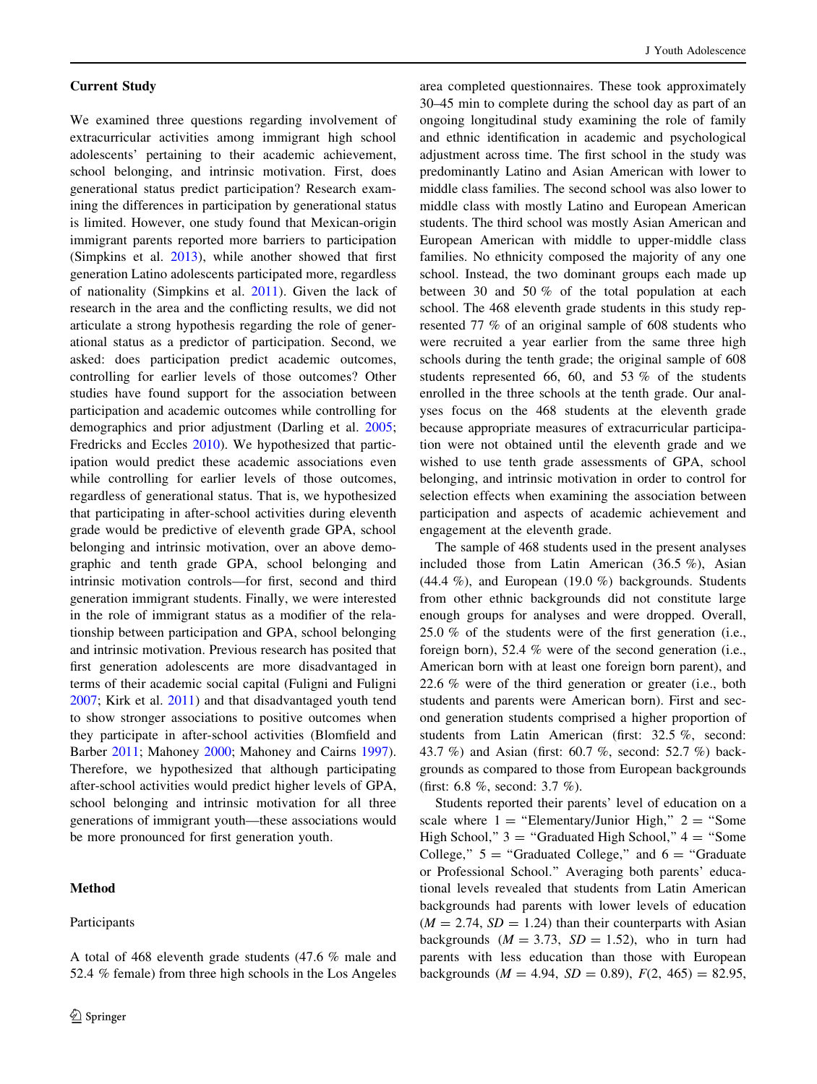#### Current Study

We examined three questions regarding involvement of extracurricular activities among immigrant high school adolescents' pertaining to their academic achievement, school belonging, and intrinsic motivation. First, does generational status predict participation? Research examining the differences in participation by generational status is limited. However, one study found that Mexican-origin immigrant parents reported more barriers to participation (Simpkins et al. [2013](#page-11-0)), while another showed that first generation Latino adolescents participated more, regardless of nationality (Simpkins et al. [2011](#page-11-0)). Given the lack of research in the area and the conflicting results, we did not articulate a strong hypothesis regarding the role of generational status as a predictor of participation. Second, we asked: does participation predict academic outcomes, controlling for earlier levels of those outcomes? Other studies have found support for the association between participation and academic outcomes while controlling for demographics and prior adjustment (Darling et al. [2005](#page-10-0); Fredricks and Eccles [2010](#page-10-0)). We hypothesized that participation would predict these academic associations even while controlling for earlier levels of those outcomes, regardless of generational status. That is, we hypothesized that participating in after-school activities during eleventh grade would be predictive of eleventh grade GPA, school belonging and intrinsic motivation, over an above demographic and tenth grade GPA, school belonging and intrinsic motivation controls—for first, second and third generation immigrant students. Finally, we were interested in the role of immigrant status as a modifier of the relationship between participation and GPA, school belonging and intrinsic motivation. Previous research has posited that first generation adolescents are more disadvantaged in terms of their academic social capital (Fuligni and Fuligni [2007;](#page-10-0) Kirk et al. [2011](#page-10-0)) and that disadvantaged youth tend to show stronger associations to positive outcomes when they participate in after-school activities (Blomfield and Barber [2011;](#page-10-0) Mahoney [2000;](#page-11-0) Mahoney and Cairns [1997](#page-11-0)). Therefore, we hypothesized that although participating after-school activities would predict higher levels of GPA, school belonging and intrinsic motivation for all three generations of immigrant youth—these associations would be more pronounced for first generation youth.

## Method

Participants

area completed questionnaires. These took approximately 30–45 min to complete during the school day as part of an ongoing longitudinal study examining the role of family and ethnic identification in academic and psychological adjustment across time. The first school in the study was predominantly Latino and Asian American with lower to middle class families. The second school was also lower to middle class with mostly Latino and European American students. The third school was mostly Asian American and European American with middle to upper-middle class families. No ethnicity composed the majority of any one school. Instead, the two dominant groups each made up between 30 and 50 % of the total population at each school. The 468 eleventh grade students in this study represented 77 % of an original sample of 608 students who were recruited a year earlier from the same three high schools during the tenth grade; the original sample of 608 students represented 66, 60, and 53 % of the students enrolled in the three schools at the tenth grade. Our analyses focus on the 468 students at the eleventh grade because appropriate measures of extracurricular participation were not obtained until the eleventh grade and we wished to use tenth grade assessments of GPA, school belonging, and intrinsic motivation in order to control for selection effects when examining the association between participation and aspects of academic achievement and engagement at the eleventh grade.

The sample of 468 students used in the present analyses included those from Latin American (36.5 %), Asian  $(44.4\%)$ , and European  $(19.0\%)$  backgrounds. Students from other ethnic backgrounds did not constitute large enough groups for analyses and were dropped. Overall, 25.0 % of the students were of the first generation (i.e., foreign born), 52.4 % were of the second generation (i.e., American born with at least one foreign born parent), and 22.6 % were of the third generation or greater (i.e., both students and parents were American born). First and second generation students comprised a higher proportion of students from Latin American (first: 32.5 %, second: 43.7 %) and Asian (first: 60.7 %, second: 52.7 %) backgrounds as compared to those from European backgrounds (first: 6.8 %, second: 3.7 %).

Students reported their parents' level of education on a scale where  $1 =$  "Elementary/Junior High,"  $2 =$  "Some High School,"  $3 =$  "Graduated High School,"  $4 =$  "Some" College,"  $5 =$  "Graduated College," and  $6 =$  "Graduate" or Professional School.'' Averaging both parents' educational levels revealed that students from Latin American backgrounds had parents with lower levels of education  $(M = 2.74, SD = 1.24)$  than their counterparts with Asian backgrounds ( $M = 3.73$ ,  $SD = 1.52$ ), who in turn had parents with less education than those with European backgrounds ( $M = 4.94$ ,  $SD = 0.89$ ),  $F(2, 465) = 82.95$ ,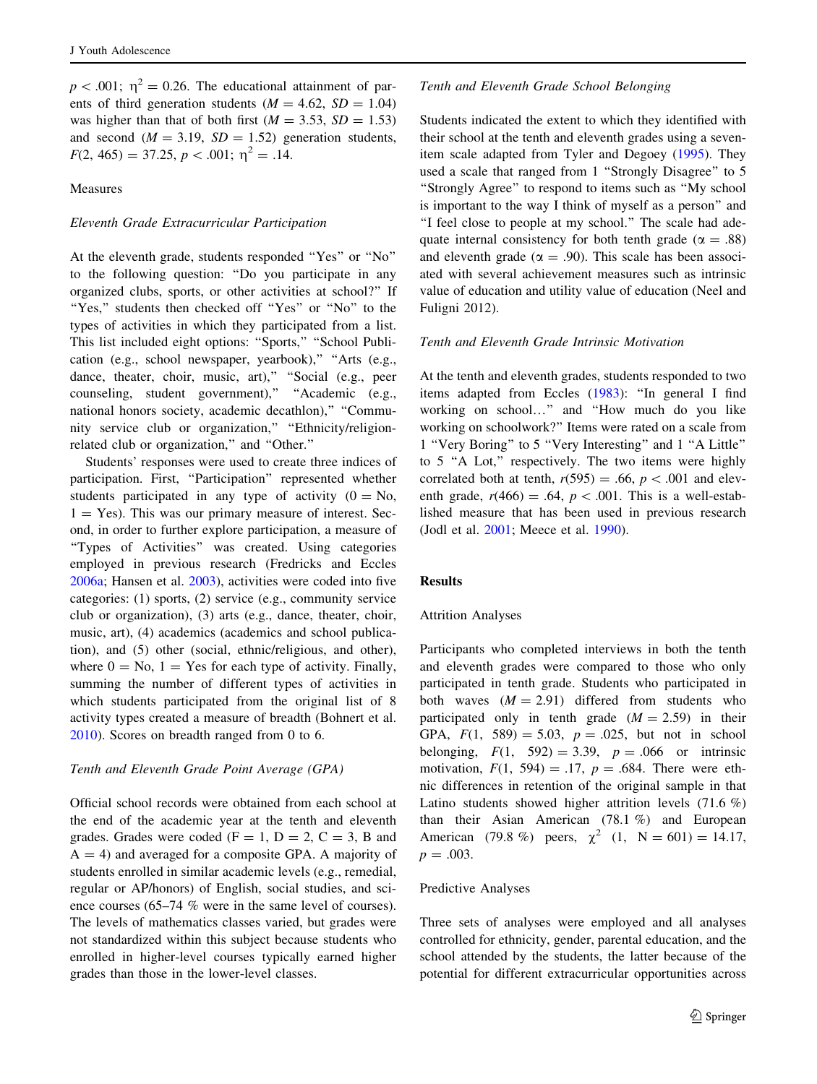$p < .001$ ;  $\eta^2 = 0.26$ . The educational attainment of parents of third generation students ( $M = 4.62$ ,  $SD = 1.04$ ) was higher than that of both first ( $M = 3.53$ ,  $SD = 1.53$ ) and second  $(M = 3.19, SD = 1.52)$  generation students,  $F(2, 465) = 37.25, p < .001; \eta^2 = .14.$ 

Measures

#### Eleventh Grade Extracurricular Participation

At the eleventh grade, students responded ''Yes'' or ''No'' to the following question: ''Do you participate in any organized clubs, sports, or other activities at school?'' If "Yes," students then checked off "Yes" or "No" to the types of activities in which they participated from a list. This list included eight options: ''Sports,'' ''School Publication (e.g., school newspaper, yearbook),'' ''Arts (e.g., dance, theater, choir, music, art)," "Social (e.g., peer counseling, student government),'' ''Academic (e.g., national honors society, academic decathlon)," "Community service club or organization,'' ''Ethnicity/religionrelated club or organization,'' and ''Other.''

Students' responses were used to create three indices of participation. First, ''Participation'' represented whether students participated in any type of activity  $(0 = No,$  $1 = Yes$ ). This was our primary measure of interest. Second, in order to further explore participation, a measure of "Types of Activities" was created. Using categories employed in previous research (Fredricks and Eccles [2006a](#page-10-0); Hansen et al. [2003\)](#page-10-0), activities were coded into five categories: (1) sports, (2) service (e.g., community service club or organization), (3) arts (e.g., dance, theater, choir, music, art), (4) academics (academics and school publication), and (5) other (social, ethnic/religious, and other), where  $0 = No$ ,  $1 = Yes$  for each type of activity. Finally, summing the number of different types of activities in which students participated from the original list of 8 activity types created a measure of breadth (Bohnert et al. [2010\)](#page-10-0). Scores on breadth ranged from 0 to 6.

#### Tenth and Eleventh Grade Point Average (GPA)

Official school records were obtained from each school at the end of the academic year at the tenth and eleventh grades. Grades were coded  $(F = 1, D = 2, C = 3, B$  and  $A = 4$ ) and averaged for a composite GPA. A majority of students enrolled in similar academic levels (e.g., remedial, regular or AP/honors) of English, social studies, and science courses (65–74 % were in the same level of courses). The levels of mathematics classes varied, but grades were not standardized within this subject because students who enrolled in higher-level courses typically earned higher grades than those in the lower-level classes.

#### Tenth and Eleventh Grade School Belonging

Students indicated the extent to which they identified with their school at the tenth and eleventh grades using a sevenitem scale adapted from Tyler and Degoey ([1995\)](#page-11-0). They used a scale that ranged from 1 ''Strongly Disagree'' to 5 ''Strongly Agree'' to respond to items such as ''My school is important to the way I think of myself as a person'' and "I feel close to people at my school." The scale had adequate internal consistency for both tenth grade ( $\alpha = .88$ ) and eleventh grade ( $\alpha = .90$ ). This scale has been associated with several achievement measures such as intrinsic value of education and utility value of education (Neel and Fuligni 2012).

#### Tenth and Eleventh Grade Intrinsic Motivation

At the tenth and eleventh grades, students responded to two items adapted from Eccles ([1983\)](#page-10-0): ''In general I find working on school…'' and ''How much do you like working on schoolwork?'' Items were rated on a scale from 1 ''Very Boring'' to 5 ''Very Interesting'' and 1 ''A Little'' to 5 ''A Lot,'' respectively. The two items were highly correlated both at tenth,  $r(595) = .66$ ,  $p < .001$  and eleventh grade,  $r(466) = .64$ ,  $p < .001$ . This is a well-established measure that has been used in previous research (Jodl et al. [2001](#page-10-0); Meece et al. [1990\)](#page-11-0).

#### Results

#### Attrition Analyses

Participants who completed interviews in both the tenth and eleventh grades were compared to those who only participated in tenth grade. Students who participated in both waves  $(M = 2.91)$  differed from students who participated only in tenth grade  $(M = 2.59)$  in their GPA,  $F(1, 589) = 5.03$ ,  $p = .025$ , but not in school belonging,  $F(1, 592) = 3.39, p = .066$  or intrinsic motivation,  $F(1, 594) = .17$ ,  $p = .684$ . There were ethnic differences in retention of the original sample in that Latino students showed higher attrition levels (71.6 %) than their Asian American (78.1 %) and European American (79.8 %) peers,  $\chi^2$  (1, N = 601) = 14.17,  $p = .003$ .

#### Predictive Analyses

Three sets of analyses were employed and all analyses controlled for ethnicity, gender, parental education, and the school attended by the students, the latter because of the potential for different extracurricular opportunities across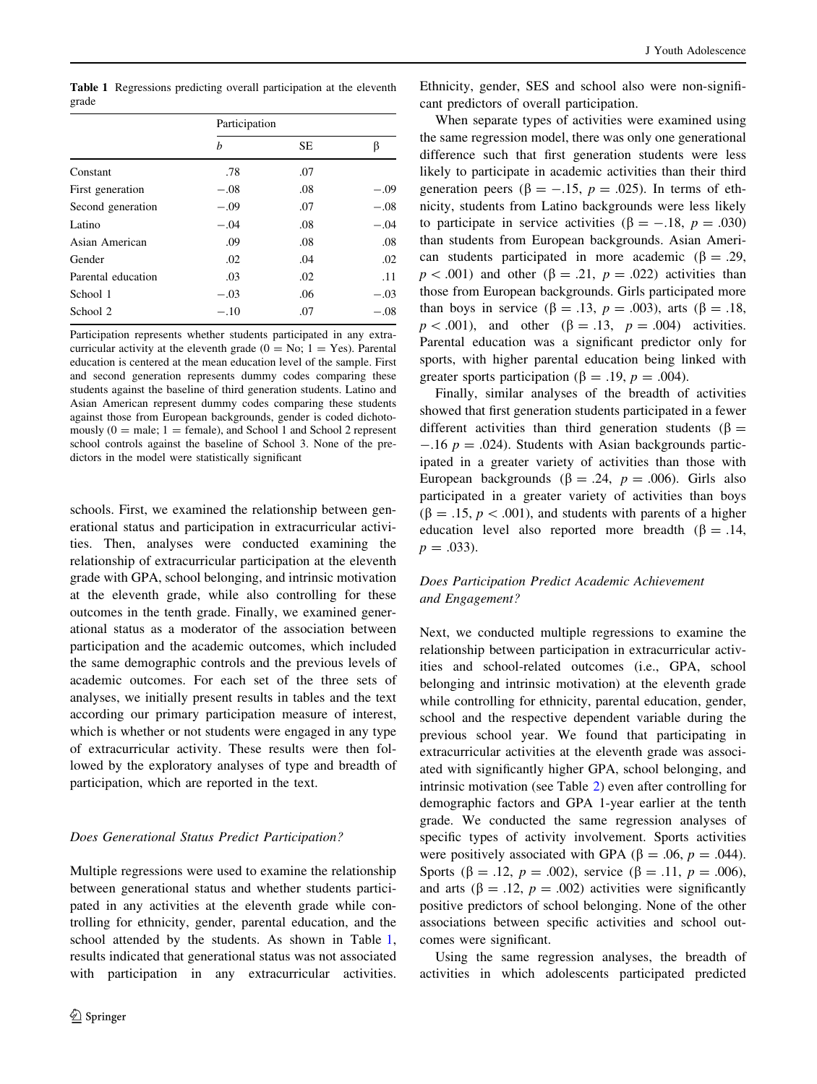Table 1 Regressions predicting overall participation at the eleventh grade

|                    | Participation |     |        |  |  |
|--------------------|---------------|-----|--------|--|--|
|                    | h             | SE  | β      |  |  |
| Constant           | .78           | .07 |        |  |  |
| First generation   | $-.08$        | .08 | $-.09$ |  |  |
| Second generation  | $-.09$        | .07 | $-.08$ |  |  |
| Latino             | $-.04$        | .08 | $-.04$ |  |  |
| Asian American     | .09           | .08 | .08    |  |  |
| Gender             | .02           | .04 | .02    |  |  |
| Parental education | .03           | .02 | .11    |  |  |
| School 1           | $-.03$        | .06 | $-.03$ |  |  |
| School 2           | $-.10$        | .07 | $-.08$ |  |  |

Participation represents whether students participated in any extracurricular activity at the eleventh grade  $(0 = No; 1 = Yes)$ . Parental education is centered at the mean education level of the sample. First and second generation represents dummy codes comparing these students against the baseline of third generation students. Latino and Asian American represent dummy codes comparing these students against those from European backgrounds, gender is coded dichotomously  $(0 = male; 1 = female)$ , and School 1 and School 2 represent school controls against the baseline of School 3. None of the predictors in the model were statistically significant

schools. First, we examined the relationship between generational status and participation in extracurricular activities. Then, analyses were conducted examining the relationship of extracurricular participation at the eleventh grade with GPA, school belonging, and intrinsic motivation at the eleventh grade, while also controlling for these outcomes in the tenth grade. Finally, we examined generational status as a moderator of the association between participation and the academic outcomes, which included the same demographic controls and the previous levels of academic outcomes. For each set of the three sets of analyses, we initially present results in tables and the text according our primary participation measure of interest, which is whether or not students were engaged in any type of extracurricular activity. These results were then followed by the exploratory analyses of type and breadth of participation, which are reported in the text.

### Does Generational Status Predict Participation?

<span id="page-5-0"></span>Multiple regressions were used to examine the relationship between generational status and whether students participated in any activities at the eleventh grade while controlling for ethnicity, gender, parental education, and the school attended by the students. As shown in Table [1,](#page-5-0) results indicated that generational status was not associated with participation in any extracurricular activities.

Ethnicity, gender, SES and school also were non-significant predictors of overall participation.

When separate types of activities were examined using the same regression model, there was only one generational difference such that first generation students were less likely to participate in academic activities than their third generation peers ( $\beta = -.15$ ,  $p = .025$ ). In terms of ethnicity, students from Latino backgrounds were less likely to participate in service activities ( $\beta = -.18$ ,  $p = .030$ ) than students from European backgrounds. Asian American students participated in more academic ( $\beta = .29$ ,  $p$  < .001) and other ( $\beta$  = .21,  $p$  = .022) activities than those from European backgrounds. Girls participated more than boys in service ( $\beta = .13$ ,  $p = .003$ ), arts ( $\beta = .18$ ,  $p \lt .001$ , and other ( $\beta = .13$ ,  $p = .004$ ) activities. Parental education was a significant predictor only for sports, with higher parental education being linked with greater sports participation ( $\beta = .19$ ,  $p = .004$ ).

Finally, similar analyses of the breadth of activities showed that first generation students participated in a fewer different activities than third generation students ( $\beta$  =  $-.16$   $p = .024$ ). Students with Asian backgrounds participated in a greater variety of activities than those with European backgrounds ( $\beta = .24$ ,  $p = .006$ ). Girls also participated in a greater variety of activities than boys  $(\beta = .15, p < .001)$ , and students with parents of a higher education level also reported more breadth ( $\beta = .14$ ,  $p = .033$ ).

# Does Participation Predict Academic Achievement and Engagement?

Next, we conducted multiple regressions to examine the relationship between participation in extracurricular activities and school-related outcomes (i.e., GPA, school belonging and intrinsic motivation) at the eleventh grade while controlling for ethnicity, parental education, gender, school and the respective dependent variable during the previous school year. We found that participating in extracurricular activities at the eleventh grade was associated with significantly higher GPA, school belonging, and intrinsic motivation (see Table [2\)](#page-6-0) even after controlling for demographic factors and GPA 1-year earlier at the tenth grade. We conducted the same regression analyses of specific types of activity involvement. Sports activities were positively associated with GPA ( $\beta = .06$ ,  $p = .044$ ). Sports ( $\beta = .12$ ,  $p = .002$ ), service ( $\beta = .11$ ,  $p = .006$ ), and arts ( $\beta = .12$ ,  $p = .002$ ) activities were significantly positive predictors of school belonging. None of the other associations between specific activities and school outcomes were significant.

Using the same regression analyses, the breadth of activities in which adolescents participated predicted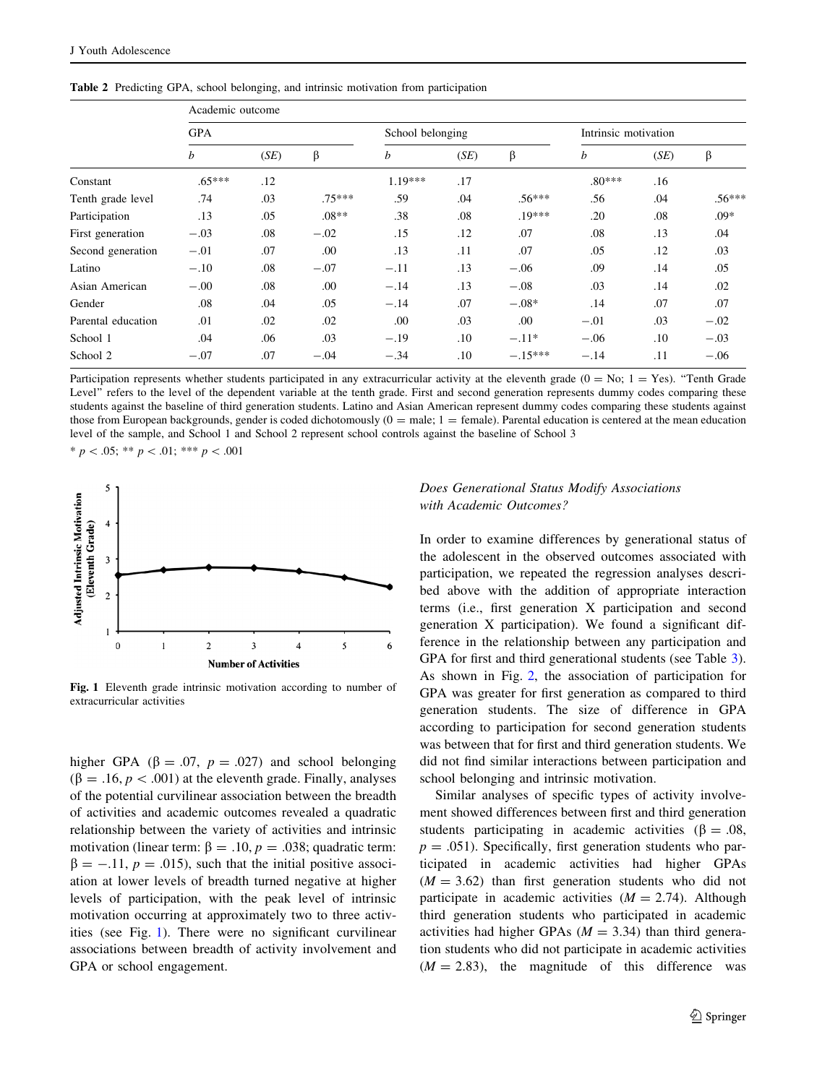Table 2 Predicting GPA, school belonging, and intrinsic motivation from participation

|                    | Academic outcome |      |          |                  |      |           |                      |      |          |
|--------------------|------------------|------|----------|------------------|------|-----------|----------------------|------|----------|
|                    | <b>GPA</b>       |      |          | School belonging |      |           | Intrinsic motivation |      |          |
|                    | b                | (SE) | β        | b                | (SE) | β         | b                    | (SE) | β        |
| Constant           | $.65***$         | .12  |          | $1.19***$        | .17  |           | $.80***$             | .16  |          |
| Tenth grade level  | .74              | .03  | $.75***$ | .59              | .04  | $.56***$  | .56                  | .04  | $.56***$ |
| Participation      | .13              | .05  | $.08**$  | .38              | .08  | $.19***$  | .20                  | .08  | $.09*$   |
| First generation   | $-.03$           | .08  | $-.02$   | .15              | .12  | .07       | .08                  | .13  | .04      |
| Second generation  | $-.01$           | .07  | .00      | .13              | .11  | .07       | .05                  | .12  | .03      |
| Latino             | $-.10$           | .08  | $-.07$   | $-.11$           | .13  | $-.06$    | .09                  | .14  | .05      |
| Asian American     | $-.00$           | .08  | .00      | $-.14$           | .13  | $-.08$    | .03                  | .14  | .02      |
| Gender             | .08              | .04  | .05      | $-.14$           | .07  | $-.08*$   | .14                  | .07  | .07      |
| Parental education | .01              | .02  | .02      | .00              | .03  | .00.      | $-.01$               | .03  | $-.02$   |
| School 1           | .04              | .06  | .03      | $-.19$           | .10  | $-.11*$   | $-.06$               | .10  | $-.03$   |
| School 2           | $-.07$           | .07  | $-.04$   | $-.34$           | .10  | $-.15***$ | $-.14$               | .11  | $-.06$   |

Participation represents whether students participated in any extracurricular activity at the eleventh grade  $(0 = No; 1 = Yes)$ . "Tenth Grade Level" refers to the level of the dependent variable at the tenth grade. First and second generation represents dummy codes comparing these students against the baseline of third generation students. Latino and Asian American represent dummy codes comparing these students against those from European backgrounds, gender is coded dichotomously  $(0 = male; 1 = female)$ . Parental education is centered at the mean education level of the sample, and School 1 and School 2 represent school controls against the baseline of School 3



 $* p < 0.05; ** p < 0.01; *** p < 0.001$ 

Fig. 1 Eleventh grade intrinsic motivation according to number of extracurricular activities

<span id="page-6-0"></span>higher GPA ( $\beta = .07$ ,  $p = .027$ ) and school belonging  $(\beta = .16, p < .001)$  at the eleventh grade. Finally, analyses of the potential curvilinear association between the breadth of activities and academic outcomes revealed a quadratic relationship between the variety of activities and intrinsic motivation (linear term:  $\beta = .10$ ,  $p = .038$ ; quadratic term:  $\beta = -.11$ ,  $p = .015$ ), such that the initial positive association at lower levels of breadth turned negative at higher levels of participation, with the peak level of intrinsic motivation occurring at approximately two to three activities (see Fig. [1\)](#page-6-0). There were no significant curvilinear associations between breadth of activity involvement and GPA or school engagement.

# Does Generational Status Modify Associations with Academic Outcomes?

In order to examine differences by generational status of the adolescent in the observed outcomes associated with participation, we repeated the regression analyses described above with the addition of appropriate interaction terms (i.e., first generation X participation and second generation X participation). We found a significant difference in the relationship between any participation and GPA for first and third generational students (see Table [3](#page-7-0)). As shown in Fig. [2,](#page-7-0) the association of participation for GPA was greater for first generation as compared to third generation students. The size of difference in GPA according to participation for second generation students was between that for first and third generation students. We did not find similar interactions between participation and school belonging and intrinsic motivation.

Similar analyses of specific types of activity involvement showed differences between first and third generation students participating in academic activities ( $\beta = .08$ ,  $p = .051$ ). Specifically, first generation students who participated in academic activities had higher GPAs  $(M = 3.62)$  than first generation students who did not participate in academic activities  $(M = 2.74)$ . Although third generation students who participated in academic activities had higher GPAs ( $M = 3.34$ ) than third generation students who did not participate in academic activities  $(M = 2.83)$ , the magnitude of this difference was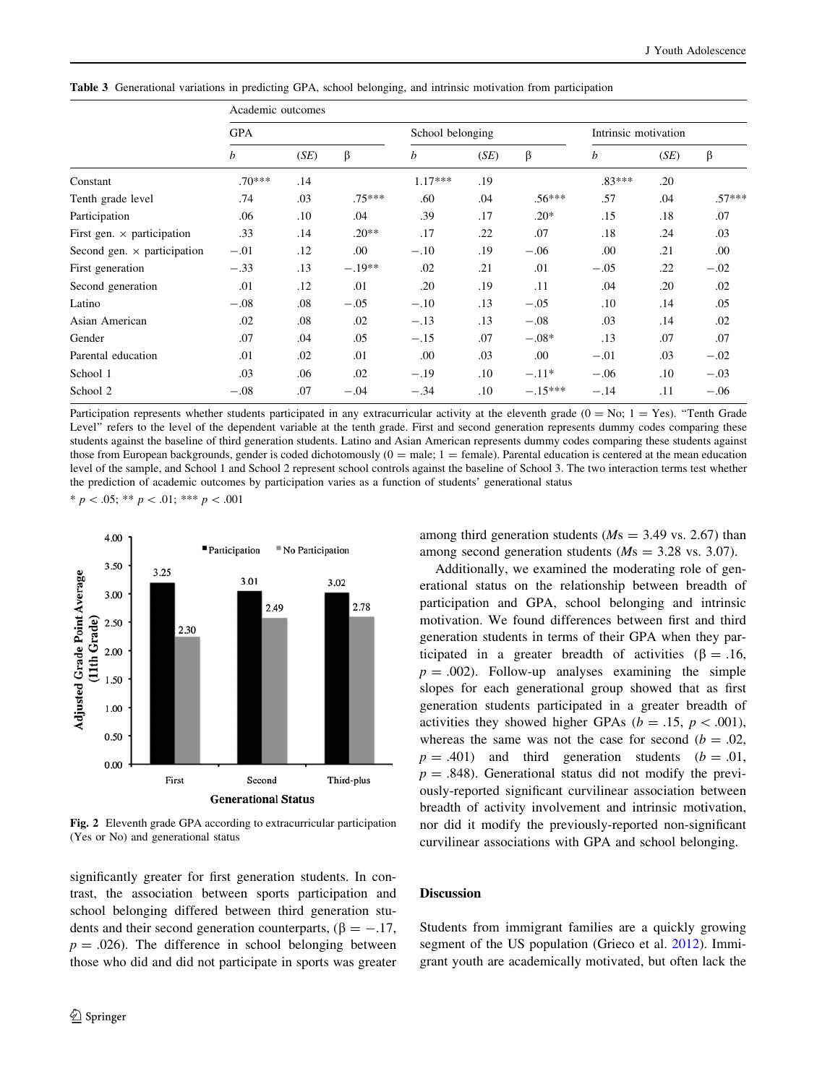Table 3 Generational variations in predicting GPA, school belonging, and intrinsic motivation from participation

|                                    | Academic outcomes |      |          |                  |      |           |                      |      |          |
|------------------------------------|-------------------|------|----------|------------------|------|-----------|----------------------|------|----------|
|                                    | <b>GPA</b>        |      |          | School belonging |      |           | Intrinsic motivation |      |          |
|                                    | b                 | (SE) | β        | b                | (SE) | $\beta$   | b                    | (SE) | β        |
| Constant                           | $.70***$          | .14  |          | $1.17***$        | .19  |           | $.83***$             | .20  |          |
| Tenth grade level                  | .74               | .03  | $.75***$ | .60              | .04  | $.56***$  | .57                  | .04  | $.57***$ |
| Participation                      | .06               | .10  | .04      | .39              | .17  | $.20*$    | .15                  | .18  | .07      |
| First gen. $\times$ participation  | .33               | .14  | $.20**$  | .17              | .22  | .07       | .18                  | .24  | .03      |
| Second gen. $\times$ participation | $-.01$            | .12  | .00      | $-.10$           | .19  | $-.06$    | .00.                 | .21  | .00      |
| First generation                   | $-.33$            | .13  | $-.19**$ | .02              | .21  | .01       | $-.05$               | .22  | $-.02$   |
| Second generation                  | .01               | .12  | .01      | .20              | .19  | .11       | .04                  | .20  | .02      |
| Latino                             | $-.08$            | .08  | $-.05$   | $-.10$           | .13  | $-.05$    | $.10\,$              | .14  | .05      |
| Asian American                     | .02               | .08  | .02      | $-.13$           | .13  | $-.08$    | .03                  | .14  | .02      |
| Gender                             | .07               | .04  | .05      | $-.15$           | .07  | $-.08*$   | .13                  | .07  | .07      |
| Parental education                 | .01               | .02  | .01      | .00              | .03  | .00       | $-.01$               | .03  | $-.02$   |
| School 1                           | .03               | .06  | .02      | $-.19$           | .10  | $-.11*$   | $-.06$               | .10  | $-.03$   |
| School 2                           | $-.08$            | .07  | $-.04$   | $-.34$           | .10  | $-.15***$ | $-.14$               | .11  | $-.06$   |

Participation represents whether students participated in any extracurricular activity at the eleventh grade  $(0 = No; 1 = Yes)$ . "Tenth Grade Level" refers to the level of the dependent variable at the tenth grade. First and second generation represents dummy codes comparing these students against the baseline of third generation students. Latino and Asian American represents dummy codes comparing these students against those from European backgrounds, gender is coded dichotomously  $(0 = male; 1 = female)$ . Parental education is centered at the mean education level of the sample, and School 1 and School 2 represent school controls against the baseline of School 3. The two interaction terms test whether the prediction of academic outcomes by participation varies as a function of students' generational status

 $* p < .05; ** p < .01; ** * p < .001$ 



Fig. 2 Eleventh grade GPA according to extracurricular participation (Yes or No) and generational status

<span id="page-7-0"></span>significantly greater for first generation students. In contrast, the association between sports participation and school belonging differed between third generation students and their second generation counterparts,  $(\beta = -.17,$  $p = .026$ ). The difference in school belonging between those who did and did not participate in sports was greater among third generation students ( $Ms = 3.49$  vs. 2.67) than among second generation students  $(Ms = 3.28 \text{ vs. } 3.07)$ .

Additionally, we examined the moderating role of generational status on the relationship between breadth of participation and GPA, school belonging and intrinsic motivation. We found differences between first and third generation students in terms of their GPA when they participated in a greater breadth of activities ( $\beta = .16$ ,  $p = .002$ ). Follow-up analyses examining the simple slopes for each generational group showed that as first generation students participated in a greater breadth of activities they showed higher GPAs ( $b = .15$ ,  $p < .001$ ), whereas the same was not the case for second ( $b = .02$ ,  $p = .401$ ) and third generation students  $(b = .01,$  $p = .848$ ). Generational status did not modify the previously-reported significant curvilinear association between breadth of activity involvement and intrinsic motivation, nor did it modify the previously-reported non-significant curvilinear associations with GPA and school belonging.

# **Discussion**

Students from immigrant families are a quickly growing segment of the US population (Grieco et al. [2012](#page-10-0)). Immigrant youth are academically motivated, but often lack the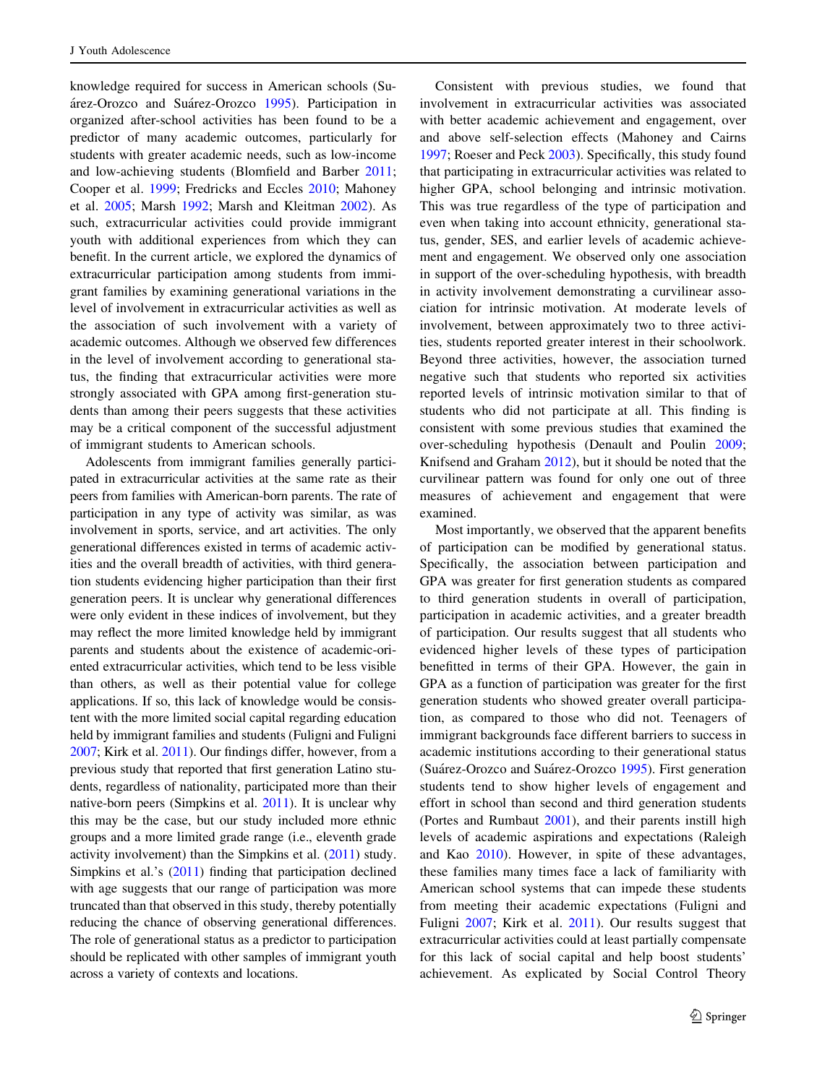knowledge required for success in American schools (Su-árez-Orozco and Suárez-Orozco [1995\)](#page-11-0). Participation in organized after-school activities has been found to be a predictor of many academic outcomes, particularly for students with greater academic needs, such as low-income and low-achieving students (Blomfield and Barber [2011](#page-10-0); Cooper et al. [1999;](#page-10-0) Fredricks and Eccles [2010;](#page-10-0) Mahoney et al. [2005](#page-11-0); Marsh [1992](#page-11-0); Marsh and Kleitman [2002](#page-11-0)). As such, extracurricular activities could provide immigrant youth with additional experiences from which they can benefit. In the current article, we explored the dynamics of extracurricular participation among students from immigrant families by examining generational variations in the level of involvement in extracurricular activities as well as the association of such involvement with a variety of academic outcomes. Although we observed few differences in the level of involvement according to generational status, the finding that extracurricular activities were more strongly associated with GPA among first-generation students than among their peers suggests that these activities may be a critical component of the successful adjustment of immigrant students to American schools.

Adolescents from immigrant families generally participated in extracurricular activities at the same rate as their peers from families with American-born parents. The rate of participation in any type of activity was similar, as was involvement in sports, service, and art activities. The only generational differences existed in terms of academic activities and the overall breadth of activities, with third generation students evidencing higher participation than their first generation peers. It is unclear why generational differences were only evident in these indices of involvement, but they may reflect the more limited knowledge held by immigrant parents and students about the existence of academic-oriented extracurricular activities, which tend to be less visible than others, as well as their potential value for college applications. If so, this lack of knowledge would be consistent with the more limited social capital regarding education held by immigrant families and students (Fuligni and Fuligni [2007;](#page-10-0) Kirk et al. [2011\)](#page-10-0). Our findings differ, however, from a previous study that reported that first generation Latino students, regardless of nationality, participated more than their native-born peers (Simpkins et al. [2011\)](#page-11-0). It is unclear why this may be the case, but our study included more ethnic groups and a more limited grade range (i.e., eleventh grade activity involvement) than the Simpkins et al. ([2011](#page-11-0)) study. Simpkins et al.'s [\(2011\)](#page-11-0) finding that participation declined with age suggests that our range of participation was more truncated than that observed in this study, thereby potentially reducing the chance of observing generational differences. The role of generational status as a predictor to participation should be replicated with other samples of immigrant youth across a variety of contexts and locations.

Consistent with previous studies, we found that involvement in extracurricular activities was associated with better academic achievement and engagement, over and above self-selection effects (Mahoney and Cairns [1997](#page-11-0); Roeser and Peck [2003\)](#page-11-0). Specifically, this study found that participating in extracurricular activities was related to higher GPA, school belonging and intrinsic motivation. This was true regardless of the type of participation and even when taking into account ethnicity, generational status, gender, SES, and earlier levels of academic achievement and engagement. We observed only one association in support of the over-scheduling hypothesis, with breadth in activity involvement demonstrating a curvilinear association for intrinsic motivation. At moderate levels of involvement, between approximately two to three activities, students reported greater interest in their schoolwork. Beyond three activities, however, the association turned negative such that students who reported six activities reported levels of intrinsic motivation similar to that of students who did not participate at all. This finding is consistent with some previous studies that examined the over-scheduling hypothesis (Denault and Poulin [2009](#page-10-0); Knifsend and Graham [2012\)](#page-10-0), but it should be noted that the curvilinear pattern was found for only one out of three measures of achievement and engagement that were examined.

Most importantly, we observed that the apparent benefits of participation can be modified by generational status. Specifically, the association between participation and GPA was greater for first generation students as compared to third generation students in overall of participation, participation in academic activities, and a greater breadth of participation. Our results suggest that all students who evidenced higher levels of these types of participation benefitted in terms of their GPA. However, the gain in GPA as a function of participation was greater for the first generation students who showed greater overall participation, as compared to those who did not. Teenagers of immigrant backgrounds face different barriers to success in academic institutions according to their generational status (Suárez-Orozco and Suárez-Orozco [1995](#page-11-0)). First generation students tend to show higher levels of engagement and effort in school than second and third generation students (Portes and Rumbaut [2001\)](#page-11-0), and their parents instill high levels of academic aspirations and expectations (Raleigh and Kao [2010](#page-11-0)). However, in spite of these advantages, these families many times face a lack of familiarity with American school systems that can impede these students from meeting their academic expectations (Fuligni and Fuligni [2007](#page-10-0); Kirk et al. [2011\)](#page-10-0). Our results suggest that extracurricular activities could at least partially compensate for this lack of social capital and help boost students' achievement. As explicated by Social Control Theory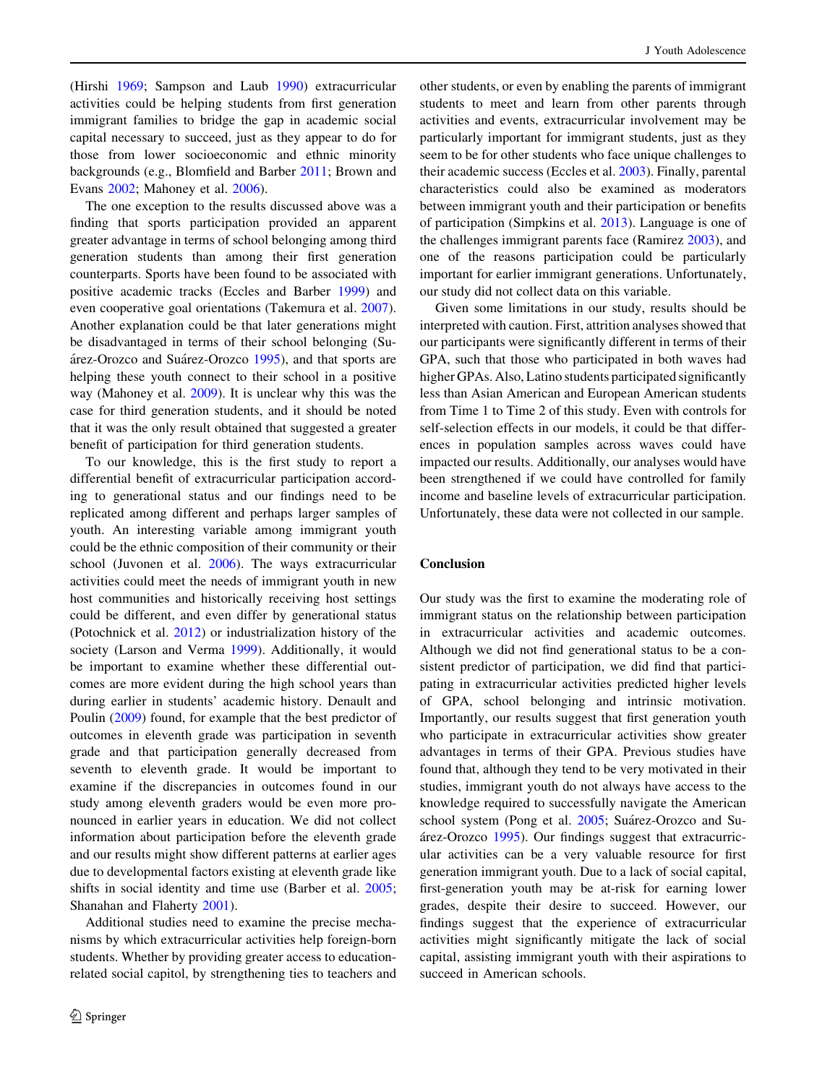(Hirshi [1969;](#page-10-0) Sampson and Laub [1990](#page-11-0)) extracurricular activities could be helping students from first generation immigrant families to bridge the gap in academic social capital necessary to succeed, just as they appear to do for those from lower socioeconomic and ethnic minority backgrounds (e.g., Blomfield and Barber [2011;](#page-10-0) Brown and Evans [2002;](#page-10-0) Mahoney et al. [2006\)](#page-11-0).

The one exception to the results discussed above was a finding that sports participation provided an apparent greater advantage in terms of school belonging among third generation students than among their first generation counterparts. Sports have been found to be associated with positive academic tracks (Eccles and Barber [1999](#page-10-0)) and even cooperative goal orientations (Takemura et al. [2007](#page-11-0)). Another explanation could be that later generations might be disadvantaged in terms of their school belonging (Su-árez-Orozco and Suárez-Orozco [1995\)](#page-11-0), and that sports are helping these youth connect to their school in a positive way (Mahoney et al. [2009\)](#page-11-0). It is unclear why this was the case for third generation students, and it should be noted that it was the only result obtained that suggested a greater benefit of participation for third generation students.

To our knowledge, this is the first study to report a differential benefit of extracurricular participation according to generational status and our findings need to be replicated among different and perhaps larger samples of youth. An interesting variable among immigrant youth could be the ethnic composition of their community or their school (Juvonen et al. [2006](#page-10-0)). The ways extracurricular activities could meet the needs of immigrant youth in new host communities and historically receiving host settings could be different, and even differ by generational status (Potochnick et al. [2012\)](#page-11-0) or industrialization history of the society (Larson and Verma [1999\)](#page-11-0). Additionally, it would be important to examine whether these differential outcomes are more evident during the high school years than during earlier in students' academic history. Denault and Poulin [\(2009](#page-10-0)) found, for example that the best predictor of outcomes in eleventh grade was participation in seventh grade and that participation generally decreased from seventh to eleventh grade. It would be important to examine if the discrepancies in outcomes found in our study among eleventh graders would be even more pronounced in earlier years in education. We did not collect information about participation before the eleventh grade and our results might show different patterns at earlier ages due to developmental factors existing at eleventh grade like shifts in social identity and time use (Barber et al. [2005](#page-10-0); Shanahan and Flaherty [2001\)](#page-11-0).

Additional studies need to examine the precise mechanisms by which extracurricular activities help foreign-born students. Whether by providing greater access to educationrelated social capitol, by strengthening ties to teachers and other students, or even by enabling the parents of immigrant students to meet and learn from other parents through activities and events, extracurricular involvement may be particularly important for immigrant students, just as they seem to be for other students who face unique challenges to their academic success (Eccles et al. [2003](#page-10-0)). Finally, parental characteristics could also be examined as moderators between immigrant youth and their participation or benefits of participation (Simpkins et al. [2013\)](#page-11-0). Language is one of the challenges immigrant parents face (Ramirez [2003](#page-11-0)), and one of the reasons participation could be particularly important for earlier immigrant generations. Unfortunately, our study did not collect data on this variable.

Given some limitations in our study, results should be interpreted with caution. First, attrition analyses showed that our participants were significantly different in terms of their GPA, such that those who participated in both waves had higher GPAs. Also, Latino students participated significantly less than Asian American and European American students from Time 1 to Time 2 of this study. Even with controls for self-selection effects in our models, it could be that differences in population samples across waves could have impacted our results. Additionally, our analyses would have been strengthened if we could have controlled for family income and baseline levels of extracurricular participation. Unfortunately, these data were not collected in our sample.

#### Conclusion

Our study was the first to examine the moderating role of immigrant status on the relationship between participation in extracurricular activities and academic outcomes. Although we did not find generational status to be a consistent predictor of participation, we did find that participating in extracurricular activities predicted higher levels of GPA, school belonging and intrinsic motivation. Importantly, our results suggest that first generation youth who participate in extracurricular activities show greater advantages in terms of their GPA. Previous studies have found that, although they tend to be very motivated in their studies, immigrant youth do not always have access to the knowledge required to successfully navigate the American school system (Pong et al. [2005](#page-11-0); Suárez-Orozco and Su-árez-Orozco [1995\)](#page-11-0). Our findings suggest that extracurricular activities can be a very valuable resource for first generation immigrant youth. Due to a lack of social capital, first-generation youth may be at-risk for earning lower grades, despite their desire to succeed. However, our findings suggest that the experience of extracurricular activities might significantly mitigate the lack of social capital, assisting immigrant youth with their aspirations to succeed in American schools.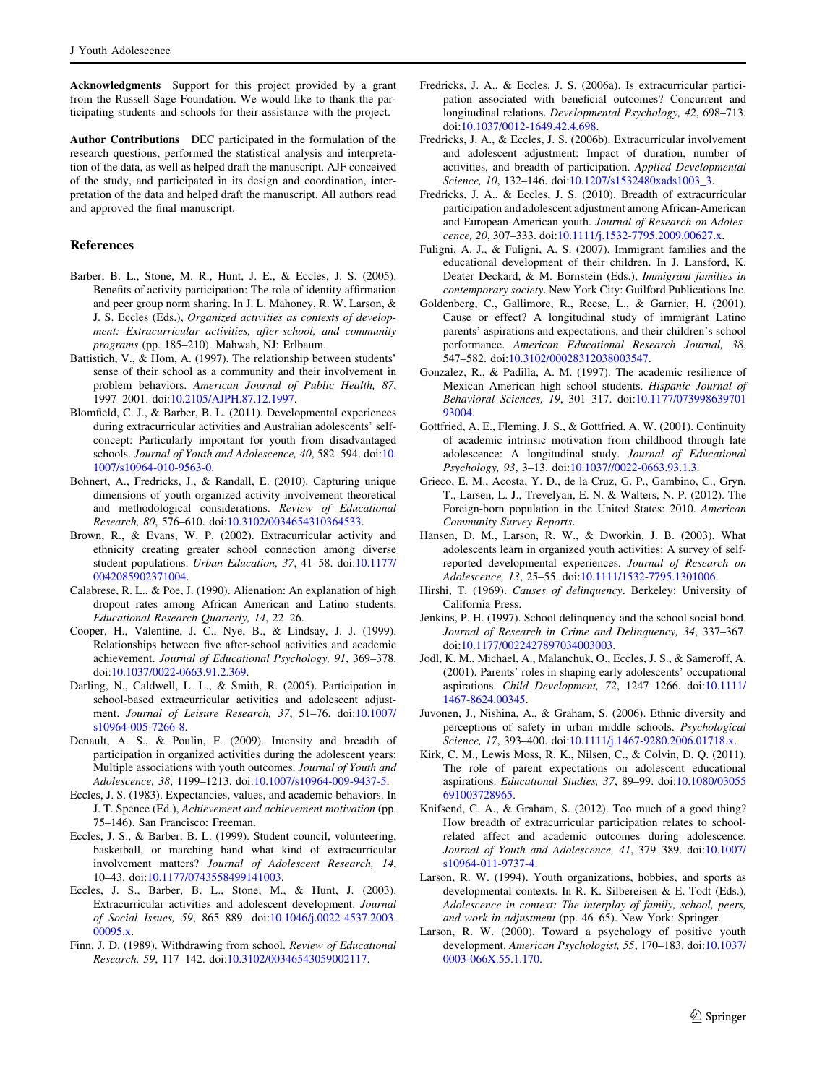Acknowledgments Support for this project provided by a grant from the Russell Sage Foundation. We would like to thank the participating students and schools for their assistance with the project.

Author Contributions DEC participated in the formulation of the research questions, performed the statistical analysis and interpretation of the data, as well as helped draft the manuscript. AJF conceived of the study, and participated in its design and coordination, interpretation of the data and helped draft the manuscript. All authors read and approved the final manuscript.

#### References

- Barber, B. L., Stone, M. R., Hunt, J. E., & Eccles, J. S. (2005). Benefits of activity participation: The role of identity affirmation and peer group norm sharing. In J. L. Mahoney, R. W. Larson, & J. S. Eccles (Eds.), Organized activities as contexts of development: Extracurricular activities, after-school, and community programs (pp. 185–210). Mahwah, NJ: Erlbaum.
- Battistich, V., & Hom, A. (1997). The relationship between students' sense of their school as a community and their involvement in problem behaviors. American Journal of Public Health, 87, 1997–2001. doi[:10.2105/AJPH.87.12.1997.](http://dx.doi.org/10.2105/AJPH.87.12.1997)
- Blomfield, C. J., & Barber, B. L. (2011). Developmental experiences during extracurricular activities and Australian adolescents' selfconcept: Particularly important for youth from disadvantaged schools. Journal of Youth and Adolescence, 40, 582-594. doi:[10.](http://dx.doi.org/10.1007/s10964-010-9563-0) [1007/s10964-010-9563-0](http://dx.doi.org/10.1007/s10964-010-9563-0).
- Bohnert, A., Fredricks, J., & Randall, E. (2010). Capturing unique dimensions of youth organized activity involvement theoretical and methodological considerations. Review of Educational Research, 80, 576–610. doi:[10.3102/0034654310364533](http://dx.doi.org/10.3102/0034654310364533).
- Brown, R., & Evans, W. P. (2002). Extracurricular activity and ethnicity creating greater school connection among diverse student populations. Urban Education, 37, 41–58. doi[:10.1177/](http://dx.doi.org/10.1177/0042085902371004) [0042085902371004.](http://dx.doi.org/10.1177/0042085902371004)
- Calabrese, R. L., & Poe, J. (1990). Alienation: An explanation of high dropout rates among African American and Latino students. Educational Research Quarterly, 14, 22–26.
- Cooper, H., Valentine, J. C., Nye, B., & Lindsay, J. J. (1999). Relationships between five after-school activities and academic achievement. Journal of Educational Psychology, 91, 369–378. doi[:10.1037/0022-0663.91.2.369.](http://dx.doi.org/10.1037/0022-0663.91.2.369)
- Darling, N., Caldwell, L. L., & Smith, R. (2005). Participation in school-based extracurricular activities and adolescent adjustment. Journal of Leisure Research, 37, 51–76. doi[:10.1007/](http://dx.doi.org/10.1007/s10964-005-7266-8) [s10964-005-7266-8.](http://dx.doi.org/10.1007/s10964-005-7266-8)
- Denault, A. S., & Poulin, F. (2009). Intensity and breadth of participation in organized activities during the adolescent years: Multiple associations with youth outcomes. Journal of Youth and Adolescence, 38, 1199–1213. doi[:10.1007/s10964-009-9437-5.](http://dx.doi.org/10.1007/s10964-009-9437-5)
- Eccles, J. S. (1983). Expectancies, values, and academic behaviors. In J. T. Spence (Ed.), Achievement and achievement motivation (pp. 75–146). San Francisco: Freeman.
- Eccles, J. S., & Barber, B. L. (1999). Student council, volunteering, basketball, or marching band what kind of extracurricular involvement matters? Journal of Adolescent Research, 14, 10–43. doi[:10.1177/0743558499141003](http://dx.doi.org/10.1177/0743558499141003).
- Eccles, J. S., Barber, B. L., Stone, M., & Hunt, J. (2003). Extracurricular activities and adolescent development. Journal of Social Issues, 59, 865–889. doi:[10.1046/j.0022-4537.2003.](http://dx.doi.org/10.1046/j.0022-4537.2003.00095.x) [00095.x.](http://dx.doi.org/10.1046/j.0022-4537.2003.00095.x)
- <span id="page-10-0"></span>Finn, J. D. (1989). Withdrawing from school. Review of Educational Research, 59, 117–142. doi:[10.3102/00346543059002117.](http://dx.doi.org/10.3102/00346543059002117)
- Fredricks, J. A., & Eccles, J. S. (2006a). Is extracurricular participation associated with beneficial outcomes? Concurrent and longitudinal relations. Developmental Psychology, 42, 698–713. doi[:10.1037/0012-1649.42.4.698.](http://dx.doi.org/10.1037/0012-1649.42.4.698)
- Fredricks, J. A., & Eccles, J. S. (2006b). Extracurricular involvement and adolescent adjustment: Impact of duration, number of activities, and breadth of participation. Applied Developmental Science, 10, 132-146. doi[:10.1207/s1532480xads1003\\_3](http://dx.doi.org/10.1207/s1532480xads1003_3).
- Fredricks, J. A., & Eccles, J. S. (2010). Breadth of extracurricular participation and adolescent adjustment among African-American and European-American youth. Journal of Research on Adolescence, 20, 307–333. doi:[10.1111/j.1532-7795.2009.00627.x](http://dx.doi.org/10.1111/j.1532-7795.2009.00627.x).
- Fuligni, A. J., & Fuligni, A. S. (2007). Immigrant families and the educational development of their children. In J. Lansford, K. Deater Deckard, & M. Bornstein (Eds.), Immigrant families in contemporary society. New York City: Guilford Publications Inc.
- Goldenberg, C., Gallimore, R., Reese, L., & Garnier, H. (2001). Cause or effect? A longitudinal study of immigrant Latino parents' aspirations and expectations, and their children's school performance. American Educational Research Journal, 38, 547–582. doi:[10.3102/00028312038003547.](http://dx.doi.org/10.3102/00028312038003547)
- Gonzalez, R., & Padilla, A. M. (1997). The academic resilience of Mexican American high school students. Hispanic Journal of Behavioral Sciences, 19, 301–317. doi:[10.1177/073998639701](http://dx.doi.org/10.1177/07399863970193004) [93004](http://dx.doi.org/10.1177/07399863970193004).
- Gottfried, A. E., Fleming, J. S., & Gottfried, A. W. (2001). Continuity of academic intrinsic motivation from childhood through late adolescence: A longitudinal study. Journal of Educational Psychology, 93, 3–13. doi:[10.1037//0022-0663.93.1.3](http://dx.doi.org/10.1037//0022-0663.93.1.3).
- Grieco, E. M., Acosta, Y. D., de la Cruz, G. P., Gambino, C., Gryn, T., Larsen, L. J., Trevelyan, E. N. & Walters, N. P. (2012). The Foreign-born population in the United States: 2010. American Community Survey Reports.
- Hansen, D. M., Larson, R. W., & Dworkin, J. B. (2003). What adolescents learn in organized youth activities: A survey of selfreported developmental experiences. Journal of Research on Adolescence, 13, 25–55. doi[:10.1111/1532-7795.1301006.](http://dx.doi.org/10.1111/1532-7795.1301006)
- Hirshi, T. (1969). Causes of delinquency. Berkeley: University of California Press.
- Jenkins, P. H. (1997). School delinquency and the school social bond. Journal of Research in Crime and Delinquency, 34, 337–367. doi[:10.1177/0022427897034003003.](http://dx.doi.org/10.1177/0022427897034003003)
- Jodl, K. M., Michael, A., Malanchuk, O., Eccles, J. S., & Sameroff, A. (2001). Parents' roles in shaping early adolescents' occupational aspirations. Child Development, 72, 1247–1266. doi[:10.1111/](http://dx.doi.org/10.1111/1467-8624.00345) [1467-8624.00345](http://dx.doi.org/10.1111/1467-8624.00345).
- Juvonen, J., Nishina, A., & Graham, S. (2006). Ethnic diversity and perceptions of safety in urban middle schools. Psychological Science, 17, 393-400. doi[:10.1111/j.1467-9280.2006.01718.x](http://dx.doi.org/10.1111/j.1467-9280.2006.01718.x).
- Kirk, C. M., Lewis Moss, R. K., Nilsen, C., & Colvin, D. Q. (2011). The role of parent expectations on adolescent educational aspirations. Educational Studies, 37, 89–99. doi[:10.1080/03055](http://dx.doi.org/10.1080/03055691003728965) [691003728965.](http://dx.doi.org/10.1080/03055691003728965)
- Knifsend, C. A., & Graham, S. (2012). Too much of a good thing? How breadth of extracurricular participation relates to schoolrelated affect and academic outcomes during adolescence. Journal of Youth and Adolescence, 41, 379–389. doi[:10.1007/](http://dx.doi.org/10.1007/s10964-011-9737-4) [s10964-011-9737-4.](http://dx.doi.org/10.1007/s10964-011-9737-4)
- Larson, R. W. (1994). Youth organizations, hobbies, and sports as developmental contexts. In R. K. Silbereisen & E. Todt (Eds.), Adolescence in context: The interplay of family, school, peers, and work in adjustment (pp. 46–65). New York: Springer.
- Larson, R. W. (2000). Toward a psychology of positive youth development. American Psychologist, 55, 170–183. doi[:10.1037/](http://dx.doi.org/10.1037/0003-066X.55.1.170) [0003-066X.55.1.170](http://dx.doi.org/10.1037/0003-066X.55.1.170).